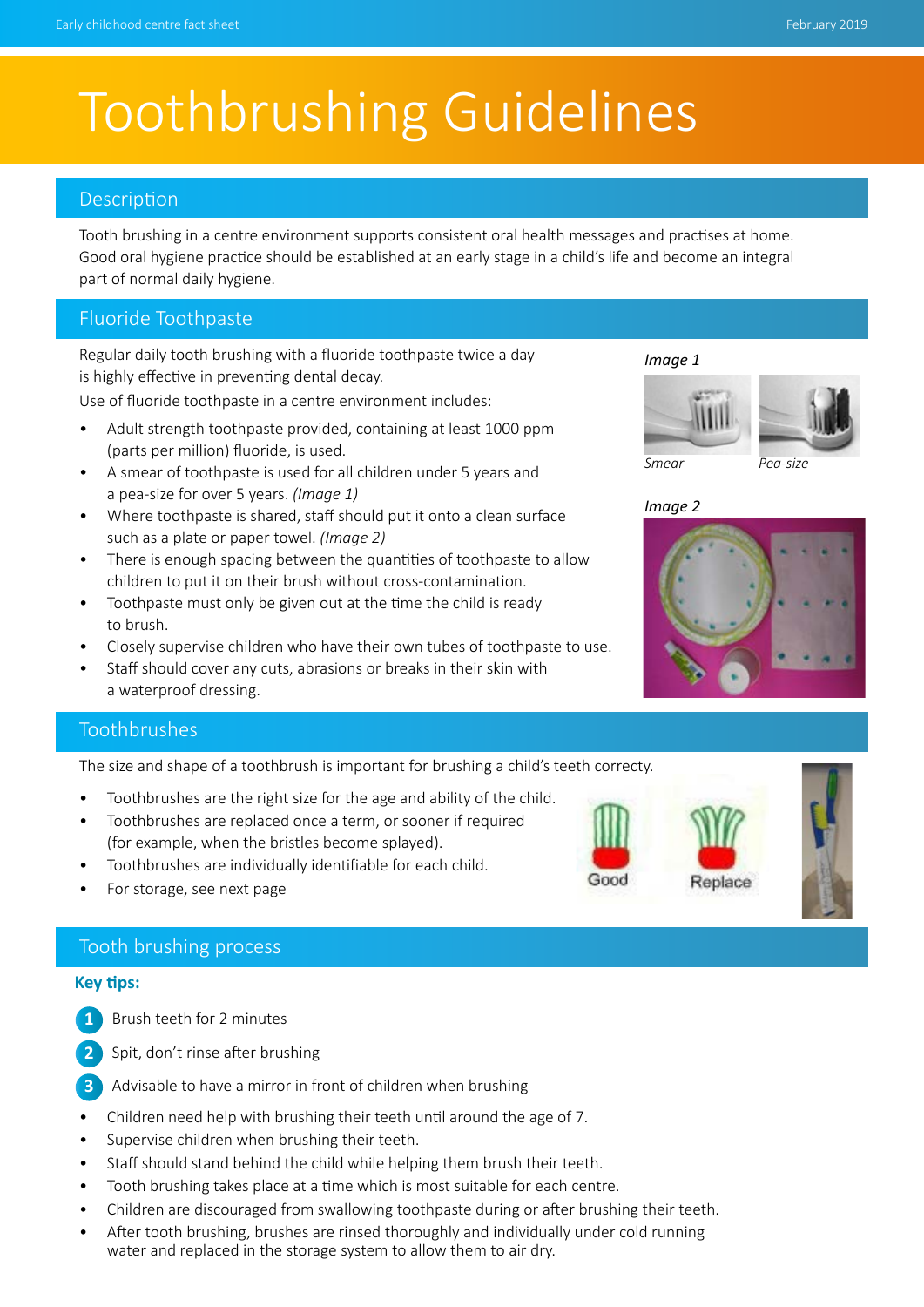# Toothbrushing Guidelines

#### **Description**

Tooth brushing in a centre environment supports consistent oral health messages and practises at home. Good oral hygiene practice should be established at an early stage in a child's life and become an integral part of normal daily hygiene.

### Fluoride Toothpaste

Regular daily tooth brushing with a fluoride toothpaste twice a day is highly effective in preventing dental decay.

Use of fluoride toothpaste in a centre environment includes:

- Adult strength toothpaste provided, containing at least 1000 ppm (parts per million) fluoride, is used.
- A smear of toothpaste is used for all children under 5 years and a pea-size for over 5 years. *(Image 1)*
- Where toothpaste is shared, staff should put it onto a clean surface such as a plate or paper towel. *(Image 2)*
- There is enough spacing between the quantities of toothpaste to allow children to put it on their brush without cross-contamination.
- Toothpaste must only be given out at the time the child is ready to brush.
- Closely supervise children who have their own tubes of toothpaste to use.
- Staff should cover any cuts, abrasions or breaks in their skin with a waterproof dressing.

#### Toothbrushes

The size and shape of a toothbrush is important for brushing a child's teeth correcty.

- Toothbrushes are the right size for the age and ability of the child.
- Toothbrushes are replaced once a term, or sooner if required (for example, when the bristles become splayed).
- Toothbrushes are individually identifiable for each child.
- For storage, see next page

#### Tooth brushing process

#### **Key tips:**

- **1** Brush teeth for 2 minutes
- Spit, don't rinse after brushing **2**
- Advisable to have a mirror in front of children when brushing **3**
- Children need help with brushing their teeth until around the age of 7. **1**
- Supervise children when brushing their teeth. **2**
- Staff should stand behind the child while helping them brush their teeth.
- Tooth brushing takes place at a time which is most suitable for each centre. **3**
- Children are discouraged from swallowing toothpaste during or after brushing their teeth.
- After tooth brushing, brushes are rinsed thoroughly and individually under cold running water and replaced in the storage system to allow them to air dry.

*Image 1*





*Image 2*